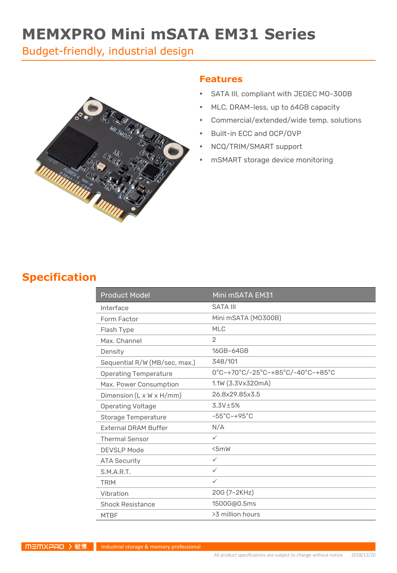# **MEMXPRO Mini mSATA EM31 Series**

Budget-friendly, industrial design



#### **Features**

- SATA III, compliant with JEDEC MO-300B
- MLC, DRAM-less, up to 64GB capacity
- Commercial/extended/wide temp. solutions
- Built-in ECC and OCP/OVP
- NCQ/TRIM/SMART support
- mSMART storage device monitoring

#### **Specification**

| <b>Product Model</b>          | Mini mSATA EM31                   |
|-------------------------------|-----------------------------------|
| Interface                     | <b>SATA III</b>                   |
| Form Factor                   | Mini mSATA (MO300B)               |
| Flash Type                    | <b>MLC</b>                        |
| Max. Channel                  | 2                                 |
| Density                       | 16GB~64GB                         |
| Sequential R/W (MB/sec, max.) | 348/101                           |
| <b>Operating Temperature</b>  | 0°C~+70°C/-25°C~+85°C/-40°C~+85°C |
| Max. Power Consumption        | 1.1W (3.3Vx320mA)                 |
| Dimension (L x W x H/mm)      | 26.8x29.85x3.5                    |
| <b>Operating Voltage</b>      | $3.3V \pm 5%$                     |
| Storage Temperature           | $-55^{\circ}$ C $-+95^{\circ}$ C  |
| <b>External DRAM Buffer</b>   | N/A                               |
| <b>Thermal Sensor</b>         | $\checkmark$                      |
| <b>DEVSLP Mode</b>            | 5mW                               |
| <b>ATA Security</b>           | $\checkmark$                      |
| S.M.A.R.T.                    | $\checkmark$                      |
| <b>TRIM</b>                   | $\checkmark$                      |
| Vibration                     | 20G (7~2KHz)                      |
| <b>Shock Resistance</b>       | 1500G@0.5ms                       |
| <b>MTBF</b>                   | >3 million hours                  |